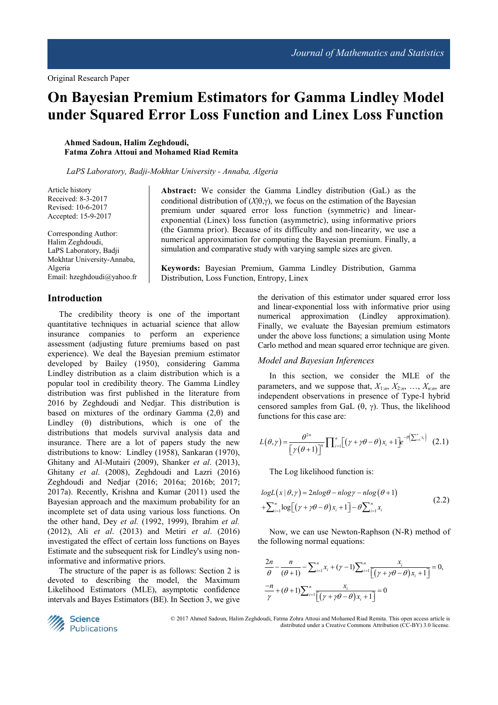# **On Bayesian Premium Estimators for Gamma Lindley Model under Squared Error Loss Function and Linex Loss Function**

**Ahmed Sadoun, Halim Zeghdoudi, Fatma Zohra Attoui and Mohamed Riad Remita** 

 *LaPS Laboratory, Badji-Mokhtar University - Annaba, Algeria* 

Article history Received: 8-3-2017 Revised: 10-6-2017 Accepted: 15-9-2017

Corresponding Author: Halim Zeghdoudi, LaPS Laboratory, Badji Mokhtar University-Annaba, Algeria Email: hzeghdoudi@yahoo.fr **Abstract:** We consider the Gamma Lindley distribution (GaL) as the conditional distribution of  $(X|\theta, \gamma)$ , we focus on the estimation of the Bayesian premium under squared error loss function (symmetric) and linearexponential (Linex) loss function (asymmetric), using informative priors (the Gamma prior). Because of its difficulty and non-linearity, we use a numerical approximation for computing the Bayesian premium. Finally, a simulation and comparative study with varying sample sizes are given.

**Keywords:** Bayesian Premium, Gamma Lindley Distribution, Gamma Distribution, Loss Function, Entropy, Linex

# **Introduction**

The credibility theory is one of the important quantitative techniques in actuarial science that allow insurance companies to perform an experience assessment (adjusting future premiums based on past experience). We deal the Bayesian premium estimator developed by Bailey (1950), considering Gamma Lindley distribution as a claim distribution which is a popular tool in credibility theory. The Gamma Lindley distribution was first published in the literature from 2016 by Zeghdoudi and Nedjar. This distribution is based on mixtures of the ordinary Gamma (2,θ) and Lindley (θ) distributions, which is one of the distributions that models survival analysis data and insurance. There are a lot of papers study the new distributions to know: Lindley (1958), Sankaran (1970), Ghitany and Al-Mutairi (2009), Shanker *et al*. (2013), Ghitany *et al*. (2008), Zeghdoudi and Lazri (2016) Zeghdoudi and Nedjar (2016; 2016a; 2016b; 2017; 2017a). Recently, Krishna and Kumar (2011) used the Bayesian approach and the maximum probability for an incomplete set of data using various loss functions. On the other hand, Dey *et al.* (1992, 1999), Ibrahim *et al.* (2012), Ali *et al*. (2013) and Metiri *et al*. (2016) investigated the effect of certain loss functions on Bayes Estimate and the subsequent risk for Lindley's using noninformative and informative priors.

The structure of the paper is as follows: Section 2 is devoted to describing the model, the Maximum Likelihood Estimators (MLE), asymptotic confidence intervals and Bayes Estimators (BE). In Section 3, we give the derivation of this estimator under squared error loss and linear-exponential loss with informative prior using numerical approximation (Lindley approximation). Finally, we evaluate the Bayesian premium estimators under the above loss functions; a simulation using Monte Carlo method and mean squared error technique are given.

# *Model and Bayesian Inferences*

In this section, we consider the MLE of the parameters, and we suppose that,  $X_{1:n}$ ,  $X_{2:n}$ , ...,  $X_{n:n}$ , are independent observations in presence of Type-I hybrid censored samples from GaL  $(θ, γ)$ . Thus, the likelihood functions for this case are:

$$
L(\theta, \gamma) = \frac{\theta^{2n}}{\left[\gamma(\theta+1)\right]^n} \prod_{i=1}^n \left[ (\gamma + \gamma \theta - \theta) x_i + 1 \right] e^{-\theta \left[\sum_{i=1}^n x_i\right]} \tag{2.1}
$$

The Log likelihood function is:

$$
logL(x | \theta, \gamma) = 2nlog\theta - nlog\gamma - nlog(\theta + 1)
$$
  
+
$$
\sum_{i=1}^{n} log[(\gamma + \gamma\theta - \theta)x_i + 1] - \theta \sum_{i=1}^{n} x_i
$$
 (2.2)

Now, we can use Newton-Raphson (N-R) method of the following normal equations:

$$
\frac{2n}{\theta} - \frac{n}{(\theta + 1)} - \sum_{i=1}^{n} x_i + (\gamma - 1) \sum_{i=1}^{n} \frac{x_i}{\left[ (\gamma + \gamma \theta - \theta) x_i + 1 \right]} = 0,
$$
  

$$
\frac{-n}{\gamma} + (\theta + 1) \sum_{i=1}^{n} \frac{x_i}{\left[ (\gamma + \gamma \theta - \theta) x_i + 1 \right]} = 0
$$

**Science** Publications  © 2017 Ahmed Sadoun, Halim Zeghdoudi, Fatma Zohra Attoui and Mohamed Riad Remita. This open access article is distributed under a Creative Commons Attribution (CC-BY) 3.0 license.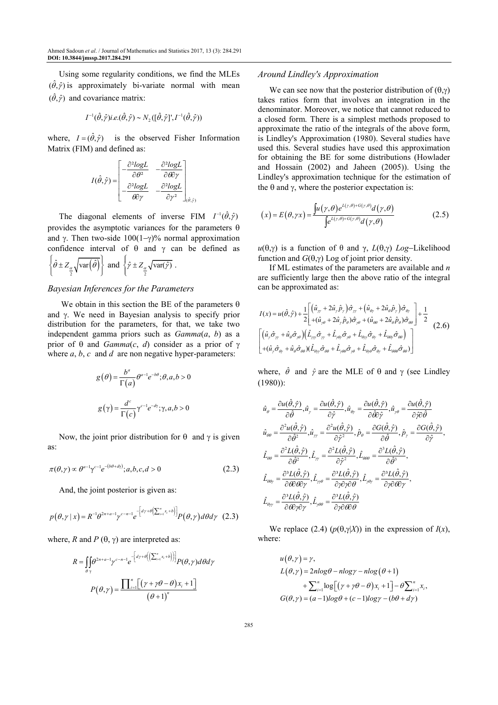Using some regularity conditions, we find the MLEs  $(\hat{\theta}, \hat{y})$  is approximately bi-variate normal with mean  $(\hat{\theta}, \hat{y})$  and covariance matrix:

$$
I^{-1}(\hat{\theta}, \hat{\gamma}) i.e. (\hat{\theta}, \hat{\gamma}) \sim N_2([\hat{\theta}, \hat{\gamma}'], I^{-1}(\hat{\theta}, \hat{\gamma}))
$$

where,  $I = (\hat{\theta}, \hat{\gamma})$ *is the observed Fisher Information* Matrix (FIM) and defined as:

$$
I(\hat{\theta}, \hat{\gamma}) = \begin{bmatrix} -\frac{\partial^2 logL}{\partial \theta^2} & -\frac{\partial^2 logL}{\partial \theta \partial \gamma} \\ -\frac{\partial^2 logL}{\partial \partial \gamma} & -\frac{\partial^2 logL}{\partial \gamma^2} \end{bmatrix}_{(\hat{\theta}, \hat{\gamma})}
$$

The diagonal elements of inverse FIM  $I^{-1}(\hat{\theta}, \hat{r})$ provides the asymptotic variances for the parameters  $\theta$ and γ. Then two-side  $100(1-\gamma)$ % normal approximation confidence interval of  $\theta$  and  $\gamma$  can be defined as  $\frac{a}{2}\sqrt{\text{var}\left(\hat{\theta}\right)}\Bigg\}$  $\left\{\hat{\theta} \pm Z_{\alpha} \sqrt{\text{var}(\hat{\theta})}\right\}$  $\left[\begin{array}{cc} \frac{a}{2} & \lambda \end{array}\right]$ and 2  $\left\{\hat{\gamma} \pm Z_{\alpha} \sqrt{\text{var}(\hat{\gamma})}\right\}$  $\overline{\mathcal{L}}$ .

## *Bayesian Inferences for the Parameters*

We obtain in this section the BE of the parameters  $\theta$ and  $\gamma$ . We need in Bayesian analysis to specify prior distribution for the parameters, for that, we take two independent gamma priors such as *Gamma*(*a*, *b*) as a prior of θ and *Gamma*(*c*, *d*) consider as a prior of γ where *a*, *b*, *c* and *d* are non negative hyper-parameters:

$$
g(\theta) = \frac{b^a}{\Gamma(a)} \theta^{a-1} e^{-b\theta}; \theta, a, b > 0
$$

$$
g(\gamma) = \frac{d^c}{\Gamma(c)} \gamma^{c-1} e^{-d\gamma}; \gamma, a, b > 0
$$

Now, the joint prior distribution for  $θ$  and  $γ$  is given as:

$$
\pi(\theta,\gamma) \propto \theta^{a-1} \gamma^{c-1} e^{-(b\theta+d\gamma)}; a,b,c,d > 0 \tag{2.3}
$$

And, the joint posterior is given as:

$$
p(\theta, \gamma | x) = R^{-1} \theta^{2n+a-1} \gamma^{c-n-1} e^{-\left[d\gamma + \theta\left(\sum_{i=1}^n x_i + b\right)\right]} P(\theta, \gamma) d\theta d\gamma \quad (2.3)
$$

where, *R* and *P* ( $\theta$ ,  $\gamma$ ) are interpreted as:

$$
R = \iint_{\theta \gamma} \theta^{2n+a-1} \gamma^{c-n-1} e^{-\left[ d\gamma + \theta \left( \left( \sum_{i=1}^n x_i + b \right) \right) \right]} P(\theta, \gamma) d\theta d\gamma
$$

$$
P(\theta, \gamma) = \frac{\prod_{i=1}^n \left[ (\gamma + \gamma \theta - \theta) x_i + 1 \right]}{(\theta + 1)^n}
$$

#### *Around Lindley's Approximation*

We can see now that the posterior distribution of  $(\theta, \gamma)$ takes ratios form that involves an integration in the denominator. Moreover, we notice that cannot reduced to a closed form. There is a simplest methods proposed to approximate the ratio of the integrals of the above form, is Lindley's Approximation (1980). Several studies have used this. Several studies have used this approximation for obtaining the BE for some distributions (Howlader and Hossain (2002) and Jaheen (2005)). Using the Lindley's approximation technique for the estimation of the  $\theta$  and  $\gamma$ , where the posterior expectation is:

$$
(x) = E(\theta, \gamma x) = \frac{\int u(\gamma, \theta) e^{L(\gamma, \theta) + G(\gamma, \theta)} d(\gamma, \theta)}{\int e^{L(\gamma, \theta) + G(\gamma, \theta)} d(\gamma, \theta)}
$$
(2.5)

*u*(θ,γ) is a function of θ and γ, *L*(θ,γ) *Log*−Likelihood function and *G*(θ,γ) Log of joint prior density.

If ML estimates of the parameters are available and *n* are sufficiently large then the above ratio of the integral can be approximated as:

$$
I(x) = u(\hat{\theta}, \hat{\gamma}) + \frac{1}{2} \left[ \left( \hat{u}_{\gamma} + 2\hat{u}_{\gamma}\hat{p}_{\gamma} \right) \hat{\sigma}_{\gamma} + \left( \hat{u}_{\phi_{\gamma}} + 2\hat{u}_{\theta}\hat{p}_{\gamma} \right) \hat{\sigma}_{\phi_{\gamma}} \right] + \frac{1}{2} \left[ \left( \hat{u}_{\gamma}\hat{\sigma}_{\gamma} + \hat{u}_{\theta}\hat{\sigma}_{\gamma\theta} + 2\hat{u}_{\gamma}\hat{p}_{\theta}\right) \hat{\sigma}_{\gamma\theta} + \left( \hat{u}_{\theta\theta} + 2\hat{u}_{\theta}\hat{p}_{\theta}\right) \hat{\sigma}_{\theta\theta} \right] + \frac{1}{2} \left[ \left( \hat{u}_{\gamma}\hat{\sigma}_{\gamma} + \hat{u}_{\theta}\hat{\sigma}_{\gamma\theta} \right) \left( \hat{L}_{\gamma\gamma}\hat{\sigma}_{\gamma\gamma} + \hat{L}_{\gamma\theta\gamma}\hat{\sigma}_{\gamma\theta} + \hat{L}_{\theta\gamma\gamma}\hat{\sigma}_{\theta\gamma} + \hat{L}_{\theta\phi\gamma}\hat{\sigma}_{\theta\theta} \right) \right] + (\hat{u}_{\gamma}\hat{\sigma}_{\phi} + \hat{u}_{\theta}\hat{\sigma}_{\theta\theta}) (\hat{L}_{\theta\gamma\gamma}\hat{\sigma}_{\theta\theta} + \hat{L}_{\gamma\theta\theta}\hat{\sigma}_{\gamma\theta} + \hat{L}_{\theta\theta\theta}\hat{\sigma}_{\phi\gamma} + \hat{L}_{\theta\theta\theta}\hat{\sigma}_{\theta\theta}) \right]
$$
(2.6)

where,  $\hat{\theta}$  and  $\hat{\gamma}$  are the MLE of  $\theta$  and  $\gamma$  (see Lindley (1980)):

$$
\begin{split} \hat{u}_{\theta} & = \frac{\partial u(\hat{\theta}, \hat{\gamma})}{\partial \hat{\theta}}, \hat{u}_{\gamma} = \frac{\partial u(\hat{\theta}, \hat{\gamma})}{\partial \hat{\gamma}}, \hat{u}_{\theta\gamma} = \frac{\partial u(\hat{\theta}, \hat{\gamma})}{\partial \hat{\theta}\partial \hat{\gamma}}, \hat{u}_{\gamma\theta} = \frac{\partial u(\hat{\theta}, \hat{\gamma})}{\partial \hat{\gamma}\partial \hat{\theta}} \\ \hat{u}_{\theta\theta} & = \frac{\partial^2 u(\hat{\theta}, \hat{\gamma})}{\partial \hat{\theta}^2}, \hat{u}_{\gamma\gamma} = \frac{\partial^2 u(\hat{\theta}, \hat{\gamma})}{\partial \hat{\gamma}^2}, \hat{p}_{\theta} = \frac{\partial G(\hat{\theta}, \hat{\gamma})}{\partial \hat{\theta}}, \hat{p}_{\gamma} = \frac{\partial G(\hat{\theta}, \hat{\gamma})}{\partial \hat{\gamma}}, \\ \hat{L}_{\theta\theta} & = \frac{\partial^2 L(\hat{\theta}, \hat{\gamma})}{\partial \hat{\theta}^2}, \hat{L}_{\gamma\gamma} = \frac{\partial^2 L(\hat{\theta}, \hat{\gamma})}{\partial \hat{\gamma}^2}, \hat{L}_{\theta\theta\theta} = \frac{\partial^3 L(\hat{\theta}, \hat{\gamma})}{\partial \hat{\theta}^3}, \\ \hat{L}_{\theta\theta\gamma} & = \frac{\partial^3 L(\hat{\theta}, \hat{\gamma})}{\partial \theta\partial \theta\partial \gamma}, \hat{L}_{\gamma\theta\theta} = \frac{\partial^3 L(\hat{\theta}, \hat{\gamma})}{\partial \gamma\partial \gamma\partial \theta}, \hat{L}_{\gamma\theta\gamma} = \frac{\partial^3 L(\hat{\theta}, \hat{\gamma})}{\partial \gamma\partial \theta\partial \gamma}, \\ \hat{L}_{\theta\theta\gamma} & = \frac{\partial^3 L(\hat{\theta}, \hat{\gamma})}{\partial \theta\partial \gamma\partial \gamma}, \hat{L}_{\gamma\theta\theta} = \frac{\partial^3 L(\hat{\theta}, \hat{\gamma})}{\partial \gamma\partial \theta\partial \theta} \end{split}
$$

We replace (2.4) ( $p(\theta, \gamma | X)$ ) in the expression of  $I(x)$ , where:

$$
u(\theta, \gamma) = \gamma,
$$
  
\n
$$
L(\theta, \gamma) = 2n \log \theta - n \log \gamma - n \log (\theta + 1)
$$
  
\n
$$
+ \sum_{i=1}^{n} \log [(\gamma + \gamma \theta - \theta) x_i + 1] - \theta \sum_{i=1}^{n} x_i,
$$
  
\n
$$
G(\theta, \gamma) = (a - 1) \log \theta + (c - 1) \log \gamma - (b\theta + d\gamma)
$$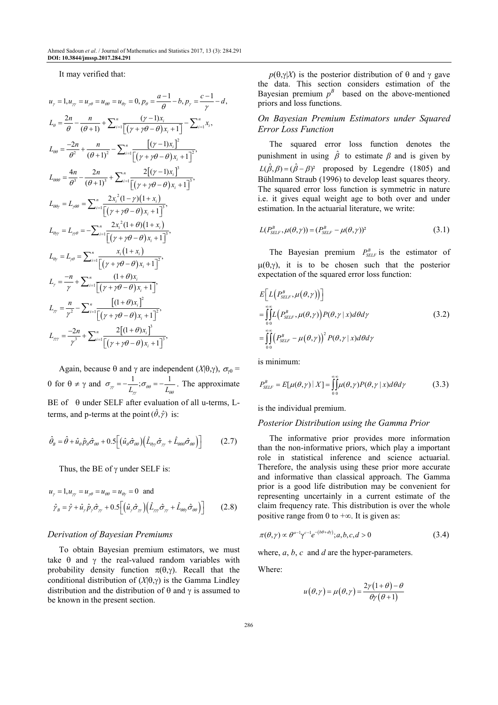It may verified that:

$$
u_{\gamma} = 1, u_{\gamma\gamma} = u_{\gamma\theta} = u_{\theta\gamma} = 0, p_{\theta} = \frac{a-1}{\theta} - b, p_{\gamma} = \frac{c-1}{\gamma} - d,
$$
  
\n
$$
L_{\theta} = \frac{2n}{\theta} - \frac{n}{(\theta+1)} + \sum_{i=1}^{n} \frac{(\gamma-1)x_{i}}{[(\gamma+\gamma\theta-\theta)x_{i}+1]} - \sum_{i=1}^{n} x_{i},
$$
  
\n
$$
L_{\theta\theta} = \frac{-2n}{\theta^{2}} + \frac{n}{(\theta+1)^{2}} - \sum_{i=1}^{n} \frac{[(\gamma-1)x_{i}]^{2}}{[(\gamma+\gamma\theta-\theta)x_{i}+1]^{2}},
$$
  
\n
$$
L_{\theta\theta\theta} = \frac{4n}{\theta^{3}} - \frac{2n}{(\theta+1)^{3}} + \sum_{i=1}^{n} \frac{2[(\gamma-1)x_{i}]^{3}}{[(\gamma+\gamma\theta-\theta)x_{i}+1]^{3}},
$$
  
\n
$$
L_{\theta\theta\gamma} = L_{\gamma\theta\theta} = \sum_{i=1}^{n} \frac{2x_{i}^{2}(1-\gamma)(1+x_{i})}{[(\gamma+\gamma\theta-\theta)x_{i}+1]^{3}},
$$
  
\n
$$
L_{\theta\gamma} = L_{\gamma\theta} = -\sum_{i=1}^{n} \frac{2x_{i}^{2}(1+\theta)(1+x_{i})}{[(\gamma+\gamma\theta-\theta)x_{i}+1]^{3}},
$$
  
\n
$$
L_{\theta\gamma} = L_{\gamma\theta} = \sum_{i=1}^{n} \frac{x_{i}(1+x_{i})}{[(\gamma+\gamma\theta-\theta)x_{i}+1]^{2}},
$$
  
\n
$$
L_{\gamma} = \frac{-n}{\gamma} + \sum_{i=1}^{n} \frac{(1+\theta)x_{i}}{[(\gamma+\gamma\theta-\theta)x_{i}+1]^{2}},
$$
  
\n
$$
L_{\gamma\gamma} = \frac{n}{\gamma^{2}} - \sum_{i=1}^{n} \frac{[(1+\theta)x_{i}]^{2}}{[(\gamma+\gamma\theta-\theta)x_{i}+1]^{2}},
$$
  
\n
$$
L_{\gamma\gamma} = \frac{-2n}{\gamma^{3}} + \sum_{i=1}
$$

Again, because  $\theta$  and  $\gamma$  are independent (*X*| $\theta$ , $\gamma$ ),  $\sigma_{\gamma\theta}$  = 0 for  $\theta \neq \gamma$  and  $\sigma_{\gamma\gamma} = -\frac{1}{L_{\gamma\gamma}}$ ;  $\sigma_{\theta\theta} = -\frac{1}{L_{\theta\theta}}$  $\sigma_{\gamma} = -\frac{1}{r}$ ;  $\sigma_{\theta\theta} = -\frac{1}{r}$ . The approximate BE of θ under SELF after evaluation of all u-terms, Lterms, and p-terms at the point  $(\hat{\theta}, \hat{y})$  is:

$$
\hat{\theta}_{B} = \hat{\theta} + \hat{u}_{\theta} \hat{p}_{\theta} \hat{\sigma}_{\theta \theta} + 0.5 \left[ \left( \hat{u}_{\theta} \hat{\sigma}_{\theta \theta} \right) \left( \hat{L}_{\theta \gamma} \hat{\sigma}_{\gamma \gamma} + \hat{L}_{\theta \theta \theta} \hat{\sigma}_{\theta \theta} \right) \right]
$$
(2.7)

Thus, the BE of  $\gamma$  under SELF is:

$$
u_{\gamma} = 1, u_{\gamma\gamma} = u_{\gamma\theta} = u_{\theta\theta} = u_{\theta\gamma} = 0 \text{ and}
$$
  

$$
\hat{\gamma}_B = \hat{\gamma} + \hat{u}_{\gamma}\hat{p}_{\gamma}\hat{\sigma}_{\gamma\gamma} + 0.5\left[\left(\hat{u}_{\gamma}\hat{\sigma}_{\gamma\gamma}\right)\left(\hat{L}_{\gamma\gamma}\hat{\sigma}_{\gamma\gamma} + \hat{L}_{\theta\theta\gamma}\hat{\sigma}_{\theta\theta}\right)\right]
$$
(2.8)

## *Derivation of Bayesian Premiums*

To obtain Bayesian premium estimators, we must take  $\theta$  and  $\gamma$  the real-valued random variables with probability density function  $\pi(\theta, \gamma)$ . Recall that the conditional distribution of (*X*|θ,γ) is the Gamma Lindley distribution and the distribution of  $\theta$  and  $\gamma$  is assumed to be known in the present section.

 $p(\theta, \gamma|X)$  is the posterior distribution of  $\theta$  and  $\gamma$  gave the data. This section considers estimation of the Bayesian premium  $p^B$  based on the above-mentioned priors and loss functions.

# *On Bayesian Premium Estimators under Squared Error Loss Function*

The squared error loss function denotes the punishment in using  $\hat{\beta}$  to estimate  $\beta$  and is given by  $L(\hat{\beta}, \beta) = (\hat{\beta} - \beta)^2$  proposed by Legendre (1805) and Bühlmann Straub (1996) to develop least squares theory. The squared error loss function is symmetric in nature i.e. it gives equal weight age to both over and under estimation. In the actuarial literature, we write:

$$
L(P_{\text{SELF}}^B, \mu(\theta, \gamma)) = (P_{\text{SELF}}^B - \mu(\theta, \gamma))^2
$$
\n(3.1)

The Bayesian premium  $P_{SELF}^{B}$  is the estimator of  $\mu(\theta, \gamma)$ , it is to be chosen such that the posterior expectation of the squared error loss function:

$$
E\left[L\left(P_{\text{SELF}}^B, \mu(\theta, \gamma)\right)\right]
$$
  
=\int\_{0}^{\infty} L\left(P\_{\text{SELF}}^B, \mu(\theta, \gamma)\right) P(\theta, \gamma | x) d\theta d\gamma (3.2)  
=\int\_{0}^{\infty} \int\_{0}^{\infty} \left(P\_{\text{SELF}}^B - \mu(\theta, \gamma)\right)^2 P(\theta, \gamma | x) d\theta d\gamma

is minimum:

$$
P_{\text{SELF}}^B = E[\mu(\theta, \gamma) | X] = \int_{0}^{\infty} \mu(\theta, \gamma) P(\theta, \gamma | x) d\theta d\gamma
$$
 (3.3)

is the individual premium.

## *Posterior Distribution using the Gamma Prior*

The informative prior provides more information than the non-informative priors, which play a important role in statistical inference and science actuarial. Therefore, the analysis using these prior more accurate and informative than classical approach. The Gamma prior is a good life distribution may be convenient for representing uncertainly in a current estimate of the claim frequency rate. This distribution is over the whole positive range from 0 to  $+\infty$ . It is given as:

$$
\pi(\theta,\gamma) \propto \theta^{a-1} \gamma^{c-1} e^{-(b\theta+d\gamma)}; a,b,c,d > 0 \tag{3.4}
$$

where, *a*, *b*, *c* and *d* are the hyper-parameters.

Where:

$$
u(\theta, \gamma) = \mu(\theta, \gamma) = \frac{2\gamma(1+\theta) - \theta}{\theta\gamma(\theta+1)}
$$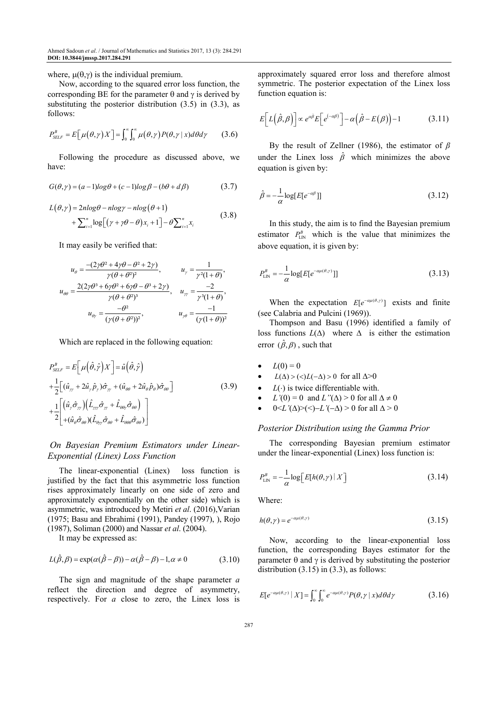where,  $\mu(\theta, \gamma)$  is the individual premium.

Now, according to the squared error loss function, the corresponding BE for the parameter  $θ$  and  $γ$  is derived by substituting the posterior distribution (3.5) in (3.3), as follows:

$$
P_{\text{SELF}}^{\text{B}} = E\left[\mu(\theta,\gamma)X\right] = \int_0^\infty \int_0^\infty \mu(\theta,\gamma)P(\theta,\gamma|x)d\theta d\gamma \tag{3.6}
$$

Following the procedure as discussed above, we have:

$$
G(\theta, \gamma) = (a-1)log \theta + (c-1)log \beta - (b\theta + d\beta)
$$
 (3.7)

$$
L(\theta, \gamma) = 2n\log\theta - n\log\gamma - n\log(\theta + 1)
$$
  
+ 
$$
\sum_{i=1}^{n} \log\left[ (\gamma + \gamma\theta - \theta) x_i + 1 \right] - \theta \sum_{i=1}^{n} x_i
$$
 (3.8)

It may easily be verified that:

$$
u_{\theta} = \frac{-(2\gamma\theta^2 + 4\gamma\theta - \theta^2 + 2\gamma)}{\gamma(\theta + \theta^2)^2}, \qquad u_{\gamma} = \frac{1}{\gamma^2(1+\theta)},
$$
  

$$
u_{\theta\theta} = \frac{2(2\gamma\theta^3 + 6\gamma\theta^2 + 6\gamma\theta - \theta^3 + 2\gamma)}{\gamma(\theta + \theta^2)^3}, \qquad u_{\gamma\theta} = \frac{-2}{\gamma^3(1+\theta)},
$$
  

$$
u_{\theta\gamma} = \frac{-\theta^2}{(\gamma(\theta + \theta^2))^2}, \qquad u_{\gamma\theta} = \frac{-1}{(\gamma(1+\theta))^2}
$$

Which are replaced in the following equation:

$$
P_{SELF}^{B} = E\left[\mu(\hat{\theta}, \hat{\gamma})X\right] = \hat{u}(\hat{\theta}, \hat{\gamma})
$$
  
+
$$
\frac{1}{2}\left[(\hat{u}_{\gamma} + 2\hat{u}_{\gamma}\hat{p}_{\gamma})\hat{\sigma}_{\gamma} + (\hat{u}_{\theta\theta} + 2\hat{u}_{\theta}\hat{p}_{\theta})\hat{\sigma}_{\theta\theta}\right]
$$
  
+
$$
\frac{1}{2}\left[\frac{(\hat{u}_{\gamma}\hat{\sigma}_{\gamma})(\hat{L}_{\gamma\gamma}\hat{\sigma}_{\gamma} + \hat{L}_{\theta\theta\gamma}\hat{\sigma}_{\theta\theta})}{+(\hat{u}_{\theta}\hat{\sigma}_{\theta\theta})(\hat{L}_{\theta\gamma}\hat{\sigma}_{\theta\theta} + \hat{L}_{\theta\theta\theta}\hat{\sigma}_{\theta\theta})}\right]
$$
(3.9)

# *On Bayesian Premium Estimators under Linear-Exponential (Linex) Loss Function*

The linear-exponential (Linex) loss function is justified by the fact that this asymmetric loss function rises approximately linearly on one side of zero and approximately exponentially on the other side) which is asymmetric, was introduced by Metiri *et al*. (2016),Varian (1975; Basu and Ebrahimi (1991), Pandey (1997), ), Rojo (1987), Soliman (2000) and Nassar *et al*. (2004).

It may be expressed as:

$$
L(\hat{\beta}, \beta) = \exp(\alpha(\hat{\beta} - \beta)) - \alpha(\hat{\beta} - \beta) - 1, \alpha \neq 0
$$
 (3.10)

The sign and magnitude of the shape parameter *a* reflect the direction and degree of asymmetry, respectively. For *a* close to zero, the Linex loss is approximately squared error loss and therefore almost symmetric. The posterior expectation of the Linex loss function equation is:

$$
E\left[L(\hat{\beta},\beta)\right] \propto e^{\alpha\hat{\beta}} E\left[e^{(-\alpha\beta)}\right] - \alpha\left(\hat{\beta} - E(\beta)\right) - 1 \tag{3.11}
$$

By the result of Zellner (1986), the estimator of *β* under the Linex loss  $\hat{\beta}$  which minimizes the above equation is given by:

$$
\hat{\beta} = -\frac{1}{\alpha} \log[E[e^{-\alpha \beta}]] \tag{3.12}
$$

In this study, the aim is to find the Bayesian premium estimator  $P_{\text{LN}}^B$  which is the value that minimizes the above equation, it is given by:

$$
P_{\text{LN}}^{B} = -\frac{1}{\alpha} \log[E[e^{-\alpha \mu(\theta, \gamma)}]] \tag{3.13}
$$

When the expectation  $E[e^{-\alpha \mu(\theta, \gamma)}]$  exists and finite (see Calabria and Pulcini (1969)).

Thompson and Basu (1996) identified a family of loss functions  $L(\Delta)$  where  $\Delta$  is either the estimation error  $(\hat{\beta}, \beta)$ , such that

- $L(0) = 0$
- $L(\Delta) > \left(\frac{1}{2} \Delta\right) > 0$  for all  $\Delta > 0$
- $L(\cdot)$  is twice differentiable with.
- $L'(0) = 0$  and  $L''(\Delta) > 0$  for all  $\Delta \neq 0$
- 0<*L'*(∆)>(<)−*L'*(−∆) > 0 for all ∆ > 0

# *Posterior Distribution using the Gamma Prior*

The corresponding Bayesian premium estimator under the linear-exponential (Linex) loss function is:

$$
P_{\text{LN}}^{B} = -\frac{1}{\alpha} \log \Big[ E[h(\theta, \gamma) | X] \Big] \tag{3.14}
$$

Where:

$$
h(\theta, \gamma) = e^{-\alpha \mu(\theta, \gamma)} \tag{3.15}
$$

Now, according to the linear-exponential loss function, the corresponding Bayes estimator for the parameter θ and γ is derived by substituting the posterior distribution  $(3.15)$  in  $(3.3)$ , as follows:

$$
E[e^{-\alpha\mu(\theta,\gamma)} | X] = \int_0^\infty \int_0^\infty e^{-\alpha\mu(\theta,\gamma)} P(\theta,\gamma | x) d\theta d\gamma
$$
 (3.16)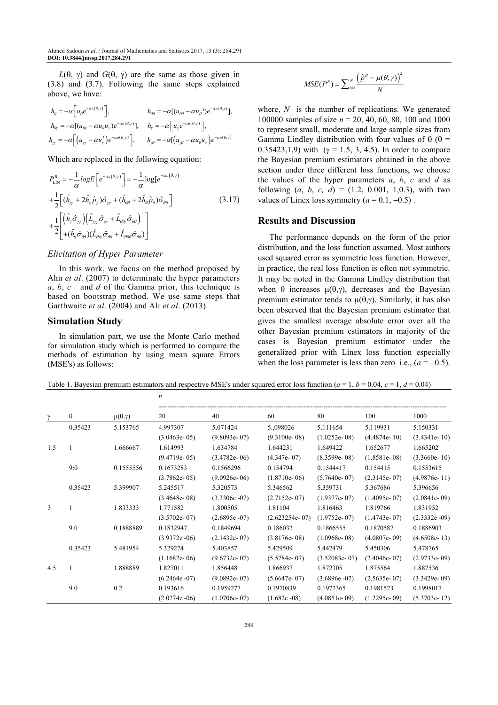*L*( $\theta$ ,  $\gamma$ ) and *G*( $\theta$ ,  $\gamma$ ) are the same as those given in (3.8) and (3.7). Following the same steps explained above, we have:

$$
h_{\theta} = -\alpha \Big[ u_{\theta} e^{-\alpha u(\theta, \gamma)} \Big], \qquad h_{\theta\theta} = -\alpha \Big[ (u_{\theta\theta} - \alpha u_{\theta}^2) e^{-\alpha u(\theta, \gamma)} \Big],
$$
  
\n
$$
h_{\theta\gamma} = -\alpha \Big[ (u_{\theta\gamma} - \alpha u_{\theta} u_{\gamma}) e^{-\alpha u(\theta, \gamma)} \Big], \qquad h_{\gamma} = -\alpha \Big[ u_{\gamma} e^{-\alpha u(\theta, \gamma)} \Big],
$$
  
\n
$$
h_{\gamma\gamma} = -\alpha \Big[ (u_{\gamma\gamma} - \alpha u_{\gamma}^2) e^{-\alpha u(\theta, \gamma)} \Big], \qquad h_{\gamma\theta} = -\alpha \Big[ (u_{\gamma\theta} - \alpha u_{\theta} u_{\gamma}) e^{-\alpha u(\theta, \gamma)} \Big]
$$

Which are replaced in the following equation:

$$
P_{\text{LN}}^{B} = -\frac{1}{\alpha} log E \left[ e^{-\alpha u(\theta, \gamma)} \right] = -\frac{1}{\alpha} log [e^{-\alpha u(\hat{\theta}, \hat{\gamma})} + \frac{1}{2} \left[ (\hat{h}_{\gamma} + 2\hat{h}_{\gamma} \hat{p}_{\gamma}) \hat{\sigma}_{\gamma} + (\hat{h}_{\theta\theta} + 2\hat{h}_{\theta} \hat{p}_{\theta}) \hat{\sigma}_{\theta\theta} \right] + \frac{1}{2} \left[ (\hat{h}_{\gamma} \hat{\sigma}_{\gamma}) \left( \hat{L}_{\gamma\gamma} \hat{\sigma}_{\gamma} + \hat{L}_{\theta\theta\gamma} \hat{\sigma}_{\theta\theta} \right) \right] + (\hat{h}_{\theta} \hat{\sigma}_{\theta\theta}) (\hat{L}_{\theta\gamma\gamma} \hat{\sigma}_{\theta\theta} + \hat{L}_{\theta\theta\theta} \hat{\sigma}_{\theta\theta}) \right]
$$
(3.17)

# *Elicitation of Hyper Parameter*

In this work, we focus on the method proposed by Ahn *et al*. (2007) to determinate the hyper parameters *a*, *b*, *c* and *d* of the Gamma prior, this technique is based on bootstrap method. We use same steps that Garthwaite *et al*. (2004) and Ali *et al*. (2013).

#### **Simulation Study**

In simulation part, we use the Monte Carlo method for simulation study which is performed to compare the methods of estimation by using mean square Errors (MSE's) as follows:

$$
MSE(P^B) = \sum_{i=1}^{N} \frac{\left(\hat{p}^B - \mu(\theta, \gamma)\right)^2}{N}
$$

where, *N* is the number of replications. We generated 100000 samples of size *n* = 20, 40, 60, 80, 100 and 1000 to represent small, moderate and large sample sizes from Gamma Lindley distribution with four values of  $\theta$  ( $\theta$  = 0.35423,1,9) with ( $\gamma$  = 1.5, 3, 4.5). In order to compare the Bayesian premium estimators obtained in the above section under three different loss functions, we choose the values of the hyper parameters *a*, *b*, *c* and *d* as following  $(a, b, c, d) = (1.2, 0.001, 1, 0.3)$ , with two values of Linex loss symmetry  $(a = 0.1, -0.5)$ .

## **Results and Discussion**

The performance depends on the form of the prior distribution, and the loss function assumed. Most authors used squared error as symmetric loss function. However, in practice, the real loss function is often not symmetric. It may be noted in the Gamma Lindley distribution that when  $\theta$  increases  $\mu(\theta, \gamma)$ , decreases and the Bayesian premium estimator tends to  $μ(θ,γ)$ . Similarly, it has also been observed that the Bayesian premium estimator that gives the smallest average absolute error over all the other Bayesian premium estimators in majority of the cases is Bayesian premium estimator under the generalized prior with Linex loss function especially when the loss parameter is less than zero i.e.,  $(a = -0.5)$ .

Table 1. Bayesian premium estimators and respective MSE's under squared error loss function ( $a = 1$ ,  $b = 0.04$ ,  $c = 1$ ,  $d = 0.04$ )

| $\gamma$ | $\theta$ | $\mu(\theta,\gamma)$ | $\boldsymbol{n}$ |                  |                  |                  |                |                  |  |
|----------|----------|----------------------|------------------|------------------|------------------|------------------|----------------|------------------|--|
|          |          |                      | 20               | 40               | 60               | 80               | 100            | 1000             |  |
|          | 0.35423  | 5.153765             | 4.997307         | 5.071424         | 5.,098026        | 5.111654         | 5.119931       | 5.150331         |  |
|          |          |                      | $(3.0463e-05)$   | $(9.8093e-07)$   | $(9.3100e-08)$   | $(1.0252e-08)$   | $(4.4874e-10)$ | $(3.4341e-10)$   |  |
| 1.5      |          | 1.666667             | 1.614993         | 1.634784         | 1.644231         | 1.649422         | 1.652677       | 1.665202         |  |
|          |          |                      | $(9.4719e-05)$   | $(3.4782e-06)$   | $(4.347e-07)$    | $(8.3599e-08)$   | $(1.8581e-08)$ | $(3.3660e-10)$   |  |
|          | 9:0      | 0.1555556            | 0.1673283        | 0.1566296        | 0.154794         | 0.1544417        | 0.154415       | 0.1553615        |  |
|          |          |                      | $(3.7862e-05)$   | $(9.0926e - 06)$ | $(1.8710e-06)$   | $(5.7640e-07)$   | $(2.3145e-07)$ | $(4.9876e-11)$   |  |
|          | 0.35423  | 5.399907             | 5.245517         | 5.320573         | 5.346562         | 5.359731         | 5.367686       | 5.396656         |  |
|          |          |                      | $(3.4648e-08)$   | $(3.3306e - 07)$ | $(2.7152e-07)$   | $(1.9377e-07)$   | $(1.4095e-07)$ | $(2.0841e-09)$   |  |
| 3        |          | 1.833333             | 1.771582         | 1.800505         | 1.81104          | 1.816463         | 1.819766       | 1.831952         |  |
|          |          |                      | $(3.5702e-07)$   | $(2.6895e - 07)$ | $(2.623254e-07)$ | $(1.9752e-07)$   | $(1.4743e-07)$ | $(2.3332e - 09)$ |  |
|          | 9.0      | 0.1888889            | 0.1832947        | 0.1849694        | 0.186032         | 0.1866555        | 0.1870587      | 0.1886903        |  |
|          |          |                      | $(3.9372e -06)$  | $(2.1432e-07)$   | $(3.8176e-08)$   | $(1.0968e-08)$   | $(4.0807e-09)$ | $(4.6508e-13)$   |  |
|          | 0.35423  | 5.481954             | 5.329274         | 5.403857         | 5.429509         | 5.442479         | 5.450306       | 5.478765         |  |
|          |          |                      | $(1.1682e-06)$   | $(9.6732e-07)$   | $(5.5784e-07)$   | $(3.52083e-07)$  | $(2.4046e-07)$ | $(2.9733e-09)$   |  |
| 4.5      |          | 1.888889             | 1.827011         | 1.856448         | 1.866937         | 1.872305         | 1.875564       | 1.887536         |  |
|          |          |                      | $(6.2464e - 07)$ | $(9.0892e-07)$   | $(5.6647e-07)$   | $(3.6896e - 07)$ | $(2.5635e-07)$ | $(3.3429e-09)$   |  |
|          | 9.0      | 0.2                  | 0.193616         | 0.1959277        | 0.1970839        | 0.1977365        | 0.1981523      | 0.1998017        |  |
|          |          |                      | $(2.0774e - 06)$ | $(1.0706e-07)$   | $(1.682e - 08)$  | $(4.0851e-09)$   | $(1.2295e-09)$ | $(5.3703e-12)$   |  |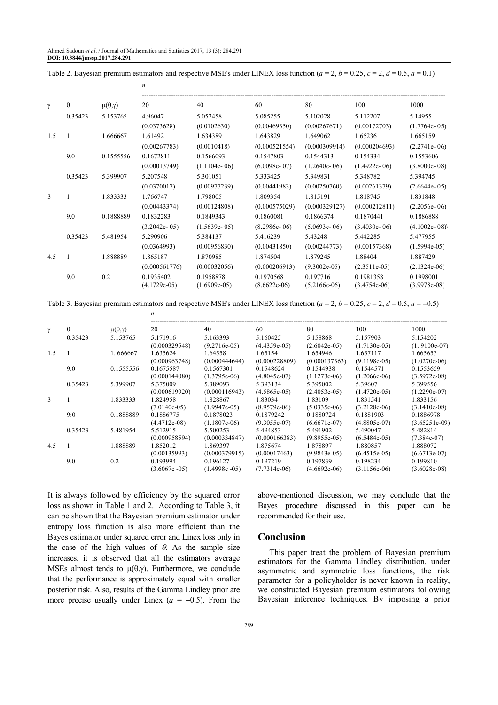*n* 

| $\gamma$ | $\theta$ | $\mu(\theta,\gamma)$ | 20                          | 40                          | 60                          | 80                         | 100                         | 1000                        |
|----------|----------|----------------------|-----------------------------|-----------------------------|-----------------------------|----------------------------|-----------------------------|-----------------------------|
|          | 0.35423  | 5.153765             | 4.96047                     | 5.052458                    | 5.085255                    | 5.102028                   | 5.112207                    | 5.14955                     |
| 1.5      |          |                      | (0.0373628)                 | (0.0102630)                 | (0.00469350)                | (0.00267671)               | (0.00172703)                | $(1.7764e-05)$              |
|          |          | 1.666667             | 1.61492                     | 1.634389                    | 1.643829                    | 1.649062                   | 1.65236                     | 1.665159                    |
|          |          |                      | (0.00267783)                | (0.0010418)                 | (0.000521554)               | (0.000309914)              | (0.000204693)               | $(2.2741e-06)$              |
|          | 9.0      | 0.1555556            | 0.1672811                   | 0.1566093                   | 0.1547803                   | 0.1544313                  | 0.154334                    | 0.1553606                   |
|          |          |                      | (0.00013749)                | $(1.1104e-06)$              | $(6.0098e-07)$              | $(1.2640e-06)$             | $(1.4922e-06)$              | $(3.8000e-08)$              |
|          | 0.35423  | 5.399907             | 5.207548                    | 5.301051                    | 5.333425                    | 5.349831                   | 5.348782                    | 5.394745                    |
|          |          |                      | (0.0370017)                 | (0.00977239)                | (0.00441983)                | (0.00250760)               | (0.00261379)                | $(2.6644e-05)$              |
| 3        |          | 1.833333             | 1.766747                    | 1.798005                    | 1.809354                    | 1.815191                   | 1.818745                    | 1.831848                    |
|          |          |                      | (0.00443374)                | (0.00124808)                | (0.000575029)               | (0.000329127)              | (0.000212811)               | $(2.2056e-06)$              |
|          | 9.0      | 0.1888889            | 0.1832283                   | 0.1849343                   | 0.1860081                   | 0.1866374                  | 0.1870441                   | 0.1886888                   |
|          |          |                      | $(3.2042e-05)$              | $(1.5639e-05)$              | $(8.2986e-06)$              | $(5.0693e-06)$             | $(3.4030e-06)$              | $(4.1002e-08)$              |
|          | 0.35423  | 5.481954             | 5.290906                    | 5.384137                    | 5.416239                    | 5.43248                    | 5.442285                    | 5.477955                    |
|          |          |                      | (0.0364993)                 | (0.00956830)                | (0.00431850)                | (0.00244773)               | (0.00157368)                | $(1.5994e-05)$              |
| 4.5      |          | 1.888889             | 1.865187                    | 1.870985                    | 1.874504                    | 1.879245                   | 1.88404                     | 1.887429                    |
|          |          |                      | (0.000561776)               | (0.00032056)                | (0.000206913)               | $(9.3002e-05)$             | $(2.3511e-05)$              | $(2.1324e-06)$              |
|          | 9.0      | 0.2                  | 0.1935402<br>$(4.1729e-05)$ | 0.1958878<br>$(1.6909e-05)$ | 0.1970568<br>$(8.6622e-06)$ | 0.197716<br>$(5.2166e-06)$ | 0.1981358<br>$(3.4754e-06)$ | 0.1998001<br>$(3.9978e-08)$ |

Table 3. Bayesian premium estimators and respective MSE's under LINEX loss function (*a* = 2, *b* = 0.25, *c* = 2, *d* = 0.5, *a* = −0.5)

|          |          |                      | n                |                  |                |                |                |                 |
|----------|----------|----------------------|------------------|------------------|----------------|----------------|----------------|-----------------|
| $\gamma$ | $\theta$ | $\mu(\theta,\gamma)$ | 20               | 40               | 60             | 80             | 100            | 1000            |
|          | 0.35423  | 5.153765             | 5.171916         | 5.163393         | 5.160425       | 5.158868       | 5.157903       | 5.154202        |
|          |          |                      | (0.000329548)    | $(9.2716e-05)$   | $(4.4359e-05)$ | $(2.6042e-05)$ | $(1.7130e-05)$ | $(1.9100e-07)$  |
| 1.5      |          | 1.666667             | 1.635624         | 1.64558          | 1.65154        | 1.654946       | 1.657117       | 1.665653        |
|          |          |                      | (0.000963748)    | (0.000444644)    | (0.000228809)  | (0.000137363)  | $(9.1198e-05)$ | $(1.0270e-06)$  |
|          | 9.0      | 0.1555556            | 0.1675587        | 0.1567301        | 0.1548624      | 0.1544938      | 0.1544571      | 0.1553659       |
|          |          |                      | (0.000144080)    | $(1.3795e-06)$   | $(4.8045e-07)$ | $(1.1273e-06)$ | $(1.2066e-06)$ | $(3.5972e-08)$  |
|          | 0.35423  | 5.399907             | 5.375009         | 5.389093         | 5.393134       | 5.395002       | 5.39607        | 5.399556        |
|          |          |                      | (0.000619920)    | (0.000116943)    | $(4.5865e-05)$ | $(2.4053e-05)$ | $(1.4720e-05)$ | $(1.2290e-07)$  |
| 3        |          | 1.833333             | 1.824958         | 1.828867         | 1.83034        | 1.83109        | 1.831541       | 1.833156        |
|          |          |                      | $(7.0140e-05)$   | $(1.9947e-05)$   | $(8.9579e-06)$ | $(5.0335e-06)$ | $(3.2128e-06)$ | $(3.1410e-08)$  |
|          | 9:0      | 0.1888889            | 0.1886775        | 0.1878023        | 0.1879242      | 0.1880724      | 0.1881903      | 0.1886978       |
|          |          |                      | $(4.4712e-08)$   | $(1.1807e-06)$   | $(9.3055e-07)$ | $(6.6671e-07)$ | $(4.8805e-07)$ | $(3.65251e-09)$ |
|          | 0.35423  | 5.481954             | 5.512915         | 5.500253         | 5.494853       | 5.491902       | 5.490047       | 5.482814        |
|          |          |                      | (0.000958594)    | (0.000334847)    | (0.000166383)  | $(9.8955e-05)$ | $(6.5484e-05)$ | $(7.384e-07)$   |
| 4.5      |          | 1.888889             | 1.852012         | 1.869397         | 1.875674       | 1.878897       | 1.880857       | 1.888072        |
|          |          |                      | (0.00135993)     | (0.000379915)    | (0.00017463)   | $(9.9843e-05)$ | $(6.4515e-05)$ | $(6.6713e-07)$  |
|          | 9.0      | 0.2                  | 0.193994         | 0.196127         | 0.197219       | 0.197839       | 0.198234       | 0.199810        |
|          |          |                      | $(3.6067e - 05)$ | $(1.4998e - 05)$ | $(7.7314e-06)$ | $(4.6692e-06)$ | $(3.1156e-06)$ | $(3.6028e-08)$  |

It is always followed by efficiency by the squared error loss as shown in Table 1 and 2. According to Table 3, it can be shown that the Bayesian premium estimator under entropy loss function is also more efficient than the Bayes estimator under squared error and Linex loss only in the case of the high values of  $\theta$ . As the sample size increases, it is observed that all the estimators average MSEs almost tends to  $\mu(\theta, \gamma)$ . Furthermore, we conclude that the performance is approximately equal with smaller posterior risk. Also, results of the Gamma Lindley prior are more precise usually under Linex  $(a = -0.5)$ . From the

**Conclusion**  This paper treat the problem of Bayesian premium

recommended for their use.

estimators for the Gamma Lindley distribution, under asymmetric and symmetric loss functions, the risk parameter for a policyholder is never known in reality, we constructed Bayesian premium estimators following Bayesian inference techniques. By imposing a prior

above-mentioned discussion, we may conclude that the Bayes procedure discussed in this paper can be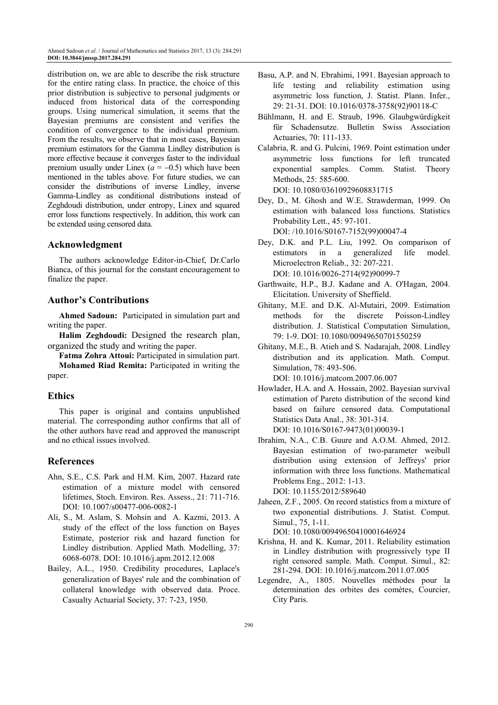distribution on, we are able to describe the risk structure for the entire rating class. In practice, the choice of this prior distribution is subjective to personal judgments or induced from historical data of the corresponding groups. Using numerical simulation, it seems that the Bayesian premiums are consistent and verifies the condition of convergence to the individual premium. From the results, we observe that in most cases, Bayesian premium estimators for the Gamma Lindley distribution is more effective because it converges faster to the individual premium usually under Linex  $(a = -0.5)$  which have been mentioned in the tables above. For future studies, we can consider the distributions of inverse Lindley, inverse Gamma-Lindley as conditional distributions instead of Zeghdoudi distribution, under entropy, Linex and squared error loss functions respectively. In addition, this work can be extended using censored data.

# **Acknowledgment**

The authors acknowledge Editor-in-Chief, Dr.Carlo Bianca, of this journal for the constant encouragement to finalize the paper.

# **Author's Contributions**

**Ahmed Sadoun:** Participated in simulation part and writing the paper.

**Halim Zeghdoudi:** Designed the research plan, organized the study and writing the paper.

**Fatma Zohra Attoui:** Participated in simulation part. **Mohamed Riad Remita:** Participated in writing the

# paper.

#### **Ethics**

This paper is original and contains unpublished material. The corresponding author confirms that all of the other authors have read and approved the manuscript and no ethical issues involved.

# **References**

- Ahn, S.E., C.S. Park and H.M. Kim, 2007. Hazard rate estimation of a mixture model with censored lifetimes, Stoch. Environ. Res. Assess., 21: 711-716. DOI: 10.1007/s00477-006-0082-1
- Ali, S., M. Aslam, S. Mohsin and A. Kazmi, 2013. A study of the effect of the loss function on Bayes Estimate, posterior risk and hazard function for Lindley distribution. Applied Math. Modelling, 37: 6068-6078. DOI: 10.1016/j.apm.2012.12.008
- Bailey, A.L., 1950. Credibility procedures, Laplace's generalization of Bayes' rule and the combination of collateral knowledge with observed data. Proce. Casualty Actuarial Society, 37: 7-23, 1950.
- Basu, A.P. and N. Ebrahimi, 1991. Bayesian approach to life testing and reliability estimation using asymmetric loss function, J. Statist. Plann. Infer., 29: 21-31. DOI: 10.1016/0378-3758(92)90118-C
- Bühlmann, H. and E. Straub, 1996. Glaubgwürdigkeit für Schadensutze. Bulletin Swiss Association Actuaries, 70: 111-133.
- Calabria, R. and G. Pulcini, 1969. Point estimation under asymmetric loss functions for left truncated exponential samples. Comm. Statist. Theory Methods, 25: 585-600. DOI: 10.1080/03610929608831715

Dey, D., M. Ghosh and W.E. Strawderman, 1999. On estimation with balanced loss functions. Statistics Probability Lett., 45: 97-101.

DOI: /10.1016/S0167-7152(99)00047-4

- Dey, D.K. and P.L. Liu, 1992. On comparison of estimators in a generalized life model. Microelectron Reliab., 32: 207-221. DOI: 10.1016/0026-2714(92)90099-7
- Garthwaite, H.P., B.J. Kadane and A. O'Hagan, 2004. Elicitation. University of Sheffield.
- Ghitany, M.E. and D.K. Al-Mutairi, 2009. Estimation methods for the discrete Poisson-Lindley distribution. J. Statistical Computation Simulation, 79: 1-9. DOI: 10.1080/00949650701550259
- Ghitany, M.E., B. Atieh and S. Nadarajah, 2008. Lindley distribution and its application. Math. Comput. Simulation, 78: 493-506. DOI: 10.1016/j.matcom.2007.06.007
- Howlader, H.A. and A. Hossain, 2002. Bayesian survival estimation of Pareto distribution of the second kind based on failure censored data. Computational Statistics Data Anal., 38: 301-314. DOI: 10.1016/S0167-9473(01)00039-1
- Ibrahim, N.A., C.B. Guure and A.O.M. Ahmed, 2012. Bayesian estimation of two-parameter weibull distribution using extension of Jeffreys' prior information with three loss functions. Mathematical Problems Eng., 2012: 1-13. DOI: 10.1155/2012/589640
- Jaheen, Z.F., 2005. On record statistics from a mixture of two exponential distributions. J. Statist. Comput. Simul., 75, 1-11.

DOI: 10.1080/00949650410001646924

- Krishna, H. and K. Kumar, 2011. Reliability estimation in Lindley distribution with progressively type II right censored sample. Math. Comput. Simul., 82: 281-294. DOI: 10.1016/j.matcom.2011.07.005
- Legendre, A., 1805. Nouvelles méthodes pour la determination des orbites des comètes, Courcier, City Paris.